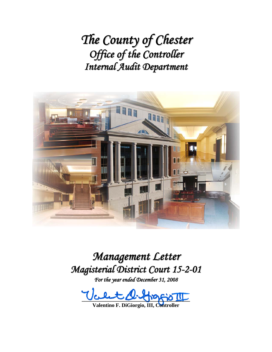*The County of Chester Office of the Controller Internal Audit Department*



*Management Letter Magisterial District Court 15-2-01*

*For the year ended December 31, 2008*

 $\text{Vert}\mathcal{Q}\text{-}\text{Vert}$ 

**Valentino F. DiGiorgio, III, Controller**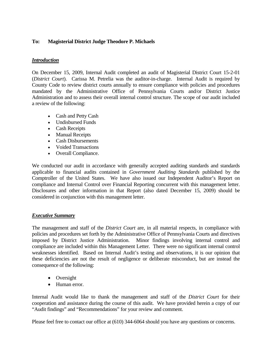## **To: Magisterial District Judge Theodore P. Michaels**

### *Introduction*

On December 15, 2009, Internal Audit completed an audit of Magisterial District Court 15-2-01 (*District Court*). Carissa M. Petrelia was the auditor-in-charge. Internal Audit is required by County Code to review district courts annually to ensure compliance with policies and procedures mandated by the Administrative Office of Pennsylvania Courts and/or District Justice Administration and to assess their overall internal control structure. The scope of our audit included a review of the following:

- Cash and Petty Cash
- Undisbursed Funds
- Cash Receipts
- Manual Receipts
- Cash Disbursements
- Voided Transactions
- Overall Compliance.

We conducted our audit in accordance with generally accepted auditing standards and standards applicable to financial audits contained in *Government Auditing Standards* published by the Comptroller of the United States. We have also issued our Independent Auditor's Report on compliance and Internal Control over Financial Reporting concurrent with this management letter. Disclosures and other information in that Report (also dated December 15, 2009) should be considered in conjunction with this management letter.

#### *Executive Summary*

The management and staff of the *District Court* are, in all material respects, in compliance with policies and procedures set forth by the Administrative Office of Pennsylvania Courts and directives imposed by District Justice Administration. Minor findings involving internal control and compliance are included within this Management Letter. There were no significant internal control weaknesses identified. Based on Internal Audit's testing and observations, it is our opinion that these deficiencies are not the result of negligence or deliberate misconduct, but are instead the consequence of the following:

- Oversight
- Human error.

Internal Audit would like to thank the management and staff of the *District Court* for their cooperation and assistance during the course of this audit. We have provided herein a copy of our "Audit findings" and "Recommendations" for your review and comment.

Please feel free to contact our office at (610) 344-6064 should you have any questions or concerns.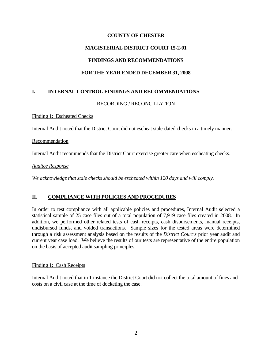## **COUNTY OF CHESTER**

# **MAGISTERIAL DISTRICT COURT 15-2-01**

# **FINDINGS AND RECOMMENDATIONS**

# **FOR THE YEAR ENDED DECEMBER 31, 2008**

# **I. INTERNAL CONTROL FINDINGS AND RECOMMENDATIONS**

### RECORDING / RECONCILIATION

#### Finding 1: Escheated Checks

Internal Audit noted that the District Court did not escheat stale-dated checks in a timely manner.

### Recommendation

Internal Audit recommends that the District Court exercise greater care when escheating checks.

#### *Auditee Response*

*We acknowledge that stale checks should be escheated within 120 days and will comply.* 

## **II. COMPLIANCE WITH POLICIES AND PROCEDURES**

In order to test compliance with all applicable policies and procedures, Internal Audit selected a statistical sample of 25 case files out of a total population of 7,919 case files created in 2008. In addition, we performed other related tests of cash receipts, cash disbursements, manual receipts, undisbursed funds, and voided transactions. Sample sizes for the tested areas were determined through a risk assessment analysis based on the results of the *District Court's* prior year audit and current year case load. We believe the results of our tests are representative of the entire population on the basis of accepted audit sampling principles.

#### Finding 1: Cash Receipts

Internal Audit noted that in 1 instance the District Court did not collect the total amount of fines and costs on a civil case at the time of docketing the case.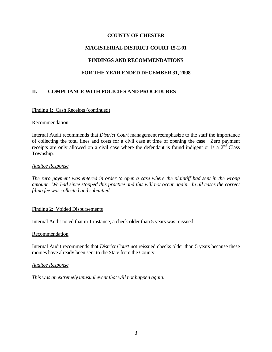### **COUNTY OF CHESTER**

## **MAGISTERIAL DISTRICT COURT 15-2-01**

### **FINDINGS AND RECOMMENDATIONS**

### **FOR THE YEAR ENDED DECEMBER 31, 2008**

## **II. COMPLIANCE WITH POLICIES AND PROCEDURES**

#### Finding 1: Cash Receipts (continued)

#### Recommendation

Internal Audit recommends that *District Court* management reemphasize to the staff the importance of collecting the total fines and costs for a civil case at time of opening the case. Zero payment receipts are only allowed on a civil case where the defendant is found indigent or is a  $2<sup>nd</sup>$  Class Township.

#### *Auditee Response*

*The zero payment was entered in order to open a case where the plaintiff had sent in the wrong amount. We had since stopped this practice and this will not occur again. In all cases the correct filing fee was collected and submitted.* 

#### Finding 2: Voided Disbursements

Internal Audit noted that in 1 instance, a check older than 5 years was reissued.

#### Recommendation

Internal Audit recommends that *District Court* not reissued checks older than 5 years because these monies have already been sent to the State from the County.

#### *Auditee Response*

*This was an extremely unusual event that will not happen again.*